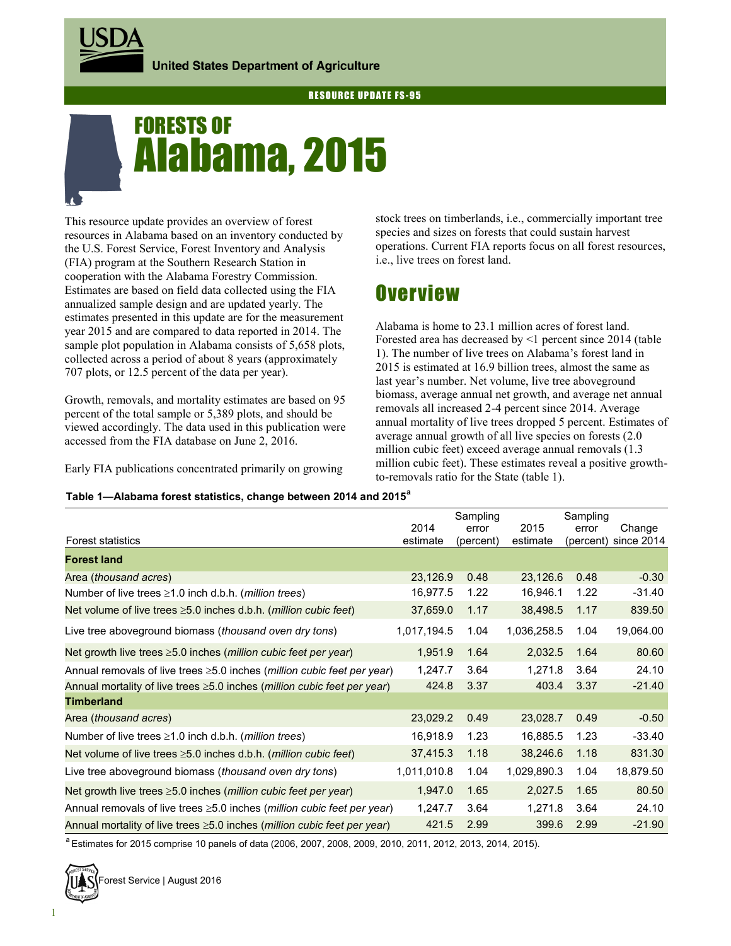

# Alabama, 2015 FORESTS OF

This resource update provides an overview of forest resources in Alabama based on an inventory conducted by the U.S. Forest Service, Forest Inventory and Analysis (FIA) program at the Southern Research Station in cooperation with the Alabama Forestry Commission. Estimates are based on field data collected using the FIA annualized sample design and are updated yearly. The estimates presented in this update are for the measurement year 2015 and are compared to data reported in 2014. The sample plot population in Alabama consists of 5,658 plots, collected across a period of about 8 years (approximately 707 plots, or 12.5 percent of the data per year).

Growth, removals, and mortality estimates are based on 95 percent of the total sample or 5,389 plots, and should be viewed accordingly. The data used in this publication were accessed from the FIA database on June 2, 2016.

Early FIA publications concentrated primarily on growing

stock trees on timberlands, i.e., commercially important tree species and sizes on forests that could sustain harvest operations. Current FIA reports focus on all forest resources, i.e., live trees on forest land.

## **Overview**

Alabama is home to 23.1 million acres of forest land. Forested area has decreased by <1 percent since 2014 (table 1). The number of live trees on Alabama's forest land in 2015 is estimated at 16.9 billion trees, almost the same as last year's number. Net volume, live tree aboveground biomass, average annual net growth, and average net annual removals all increased 2-4 percent since 2014. Average annual mortality of live trees dropped 5 percent. Estimates of average annual growth of all live species on forests (2.0 million cubic feet) exceed average annual removals (1.3 million cubic feet). These estimates reveal a positive growthto-removals ratio for the State (table 1).

#### **Table 1—Alabama forest statistics, change between 2014 and 2015<sup>a</sup>**

|                                                                                         |             | Sampling  |             | Sampling  |            |
|-----------------------------------------------------------------------------------------|-------------|-----------|-------------|-----------|------------|
|                                                                                         | 2014        | error     | 2015        | error     | Change     |
| <b>Forest statistics</b>                                                                | estimate    | (percent) | estimate    | (percent) | since 2014 |
| <b>Forest land</b>                                                                      |             |           |             |           |            |
| Area (thousand acres)                                                                   | 23,126.9    | 0.48      | 23,126.6    | 0.48      | $-0.30$    |
| Number of live trees $\geq 1.0$ inch d.b.h. ( <i>million trees</i> )                    | 16,977.5    | 1.22      | 16,946.1    | 1.22      | $-31.40$   |
| Net volume of live trees $\geq 5.0$ inches d.b.h. ( <i>million cubic feet</i> )         | 37,659.0    | 1.17      | 38,498.5    | 1.17      | 839.50     |
| Live tree aboveground biomass (thousand oven dry tons)                                  | 1,017,194.5 | 1.04      | 1,036,258.5 | 1.04      | 19,064.00  |
| Net growth live trees $\geq$ 5.0 inches ( <i>million cubic feet per year</i> )          | 1,951.9     | 1.64      | 2,032.5     | 1.64      | 80.60      |
| Annual removals of live trees $\geq 5.0$ inches ( <i>million cubic feet per year</i> )  | 1,247.7     | 3.64      | 1,271.8     | 3.64      | 24.10      |
| Annual mortality of live trees $\geq$ 5.0 inches ( <i>million cubic feet per year</i> ) | 424.8       | 3.37      | 403.4       | 3.37      | $-21.40$   |
| <b>Timberland</b>                                                                       |             |           |             |           |            |
| Area (thousand acres)                                                                   | 23,029.2    | 0.49      | 23,028.7    | 0.49      | $-0.50$    |
| Number of live trees $\geq 1.0$ inch d.b.h. ( <i>million trees</i> )                    | 16,918.9    | 1.23      | 16,885.5    | 1.23      | $-33.40$   |
| Net volume of live trees $\geq 5.0$ inches d.b.h. ( <i>million cubic feet</i> )         | 37,415.3    | 1.18      | 38,246.6    | 1.18      | 831.30     |
| Live tree aboveground biomass (thousand oven dry tons)                                  | 1,011,010.8 | 1.04      | 1,029,890.3 | 1.04      | 18,879.50  |
| Net growth live trees $\geq$ 5.0 inches ( <i>million cubic feet per year</i> )          | 1,947.0     | 1.65      | 2,027.5     | 1.65      | 80.50      |
| Annual removals of live trees $\geq 5.0$ inches ( <i>million cubic feet per year</i> )  | 1,247.7     | 3.64      | 1,271.8     | 3.64      | 24.10      |
| Annual mortality of live trees $\geq$ 5.0 inches ( <i>million cubic feet per year</i> ) | 421.5       | 2.99      | 399.6       | 2.99      | $-21.90$   |

a Estimates for 2015 comprise 10 panels of data (2006, 2007, 2008, 2009, 2010, 2011, 2012, 2013, 2014, 2015).

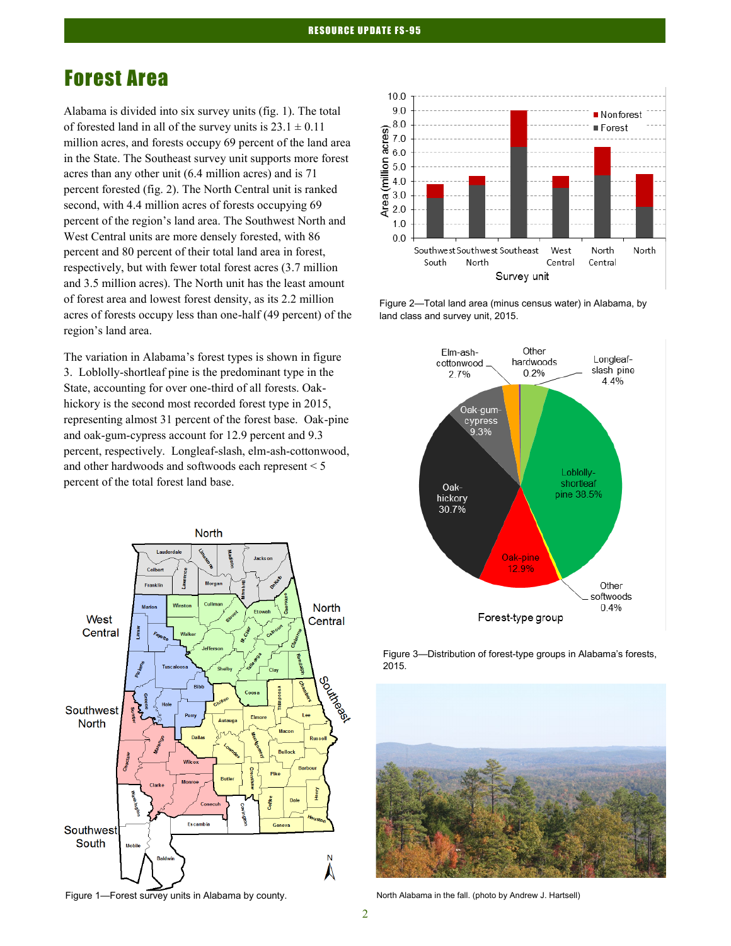## Forest Area

Alabama is divided into six survey units (fig. 1). The total of forested land in all of the survey units is  $23.1 \pm 0.11$ million acres, and forests occupy 69 percent of the land area in the State. The Southeast survey unit supports more forest acres than any other unit (6.4 million acres) and is 71 percent forested (fig. 2). The North Central unit is ranked second, with 4.4 million acres of forests occupying 69 percent of the region's land area. The Southwest North and West Central units are more densely forested, with 86 percent and 80 percent of their total land area in forest, respectively, but with fewer total forest acres (3.7 million and 3.5 million acres). The North unit has the least amount of forest area and lowest forest density, as its 2.2 million acres of forests occupy less than one-half (49 percent) of the region's land area.

The variation in Alabama's forest types is shown in figure 3. Loblolly-shortleaf pine is the predominant type in the State, accounting for over one-third of all forests. Oakhickory is the second most recorded forest type in 2015, representing almost 31 percent of the forest base. Oak-pine and oak-gum-cypress account for 12.9 percent and 9.3 percent, respectively. Longleaf-slash, elm-ash-cottonwood, and other hardwoods and softwoods each represent < 5 percent of the total forest land base.



Figure 1—Forest survey units in Alabama by county. North Alabama in the fall. (photo by Andrew J. Hartsell)



Figure 2—Total land area (minus census water) in Alabama, by land class and survey unit, 2015.



Figure 3—Distribution of forest-type groups in Alabama's forests, 2015.

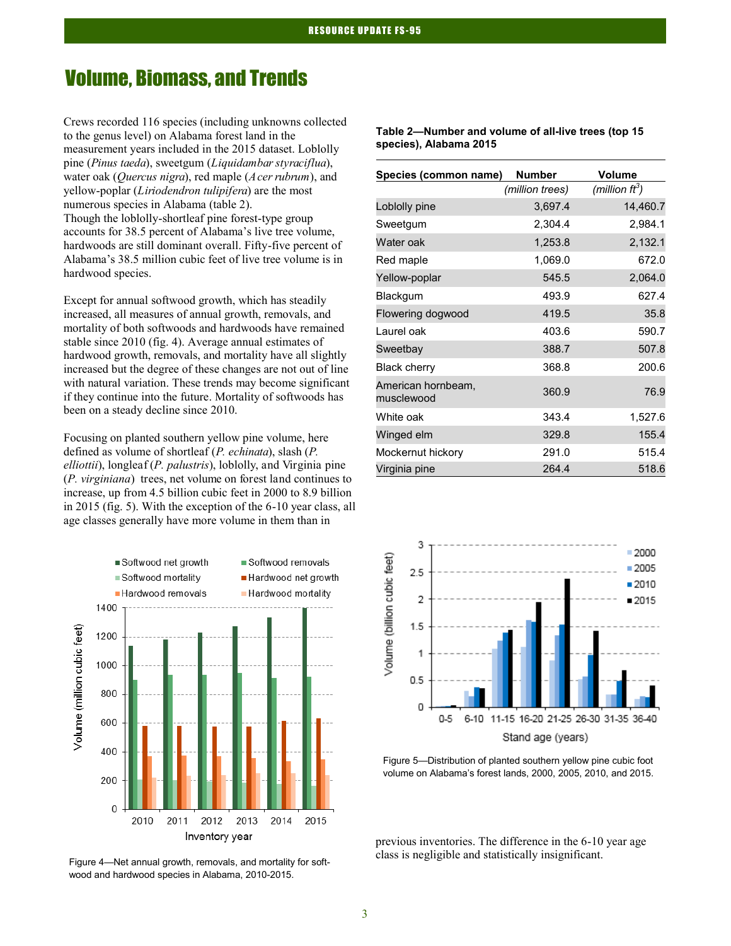### Volume, Biomass, and Trends

Crews recorded 116 species (including unknowns collected to the genus level) on Alabama forest land in the measurement years included in the 2015 dataset. Loblolly pine (*Pinus taeda*), sweetgum (*Liquidambar styraciflua*), water oak (*Quercus nigra*), red maple (*Acer rubrum*), and yellow-poplar (*Liriodendron tulipifera*) are the most numerous species in Alabama (table 2). Though the loblolly-shortleaf pine forest-type group accounts for 38.5 percent of Alabama's live tree volume, hardwoods are still dominant overall. Fifty-five percent of Alabama's 38.5 million cubic feet of live tree volume is in hardwood species.

Except for annual softwood growth, which has steadily increased, all measures of annual growth, removals, and mortality of both softwoods and hardwoods have remained stable since 2010 (fig. 4). Average annual estimates of hardwood growth, removals, and mortality have all slightly increased but the degree of these changes are not out of line with natural variation. These trends may become significant if they continue into the future. Mortality of softwoods has been on a steady decline since 2010.

Focusing on planted southern yellow pine volume, here defined as volume of shortleaf (*P. echinata*), slash (*P. elliottii*), longleaf (*P. palustris*), loblolly, and Virginia pine (*P. virginiana*) trees, net volume on forest land continues to increase, up from 4.5 billion cubic feet in 2000 to 8.9 billion in 2015 (fig. 5). With the exception of the 6-10 year class, all age classes generally have more volume in them than in



wood and hardwood species in Alabama, 2010-2015.

| Table 2-Number and volume of all-live trees (top 15 |  |
|-----------------------------------------------------|--|
| species), Alabama 2015                              |  |

| Species (common name)            | <b>Number</b>   | <b>Volume</b>     |
|----------------------------------|-----------------|-------------------|
|                                  | (million trees) | (million $ft^3$ ) |
| Loblolly pine                    | 3,697.4         | 14,460.7          |
| Sweetgum                         | 2,304.4         | 2,984.1           |
| Water oak                        | 1,253.8         | 2,132.1           |
| Red maple                        | 1,069.0         | 672.0             |
| Yellow-poplar                    | 545.5           | 2,064.0           |
| Blackgum                         | 493.9           | 627.4             |
| Flowering dogwood                | 419.5           | 35.8              |
| Laurel oak                       | 403.6           | 590.7             |
| Sweetbay                         | 388.7           | 507.8             |
| <b>Black cherry</b>              | 368.8           | 200.6             |
| American hornbeam,<br>musclewood | 360.9           | 76.9              |
| White oak                        | 343.4           | 1,527.6           |
| Winged elm                       | 329.8           | 155.4             |
| Mockernut hickory                | 291.0           | 515.4             |
| Virginia pine                    | 264.4           | 518.6             |



Figure 5—Distribution of planted southern yellow pine cubic foot volume on Alabama's forest lands, 2000, 2005, 2010, and 2015.

previous inventories. The difference in the 6-10 year age class is negligible and statistically insignificant. Figure 4—Net annual growth, removals, and mortality for soft-